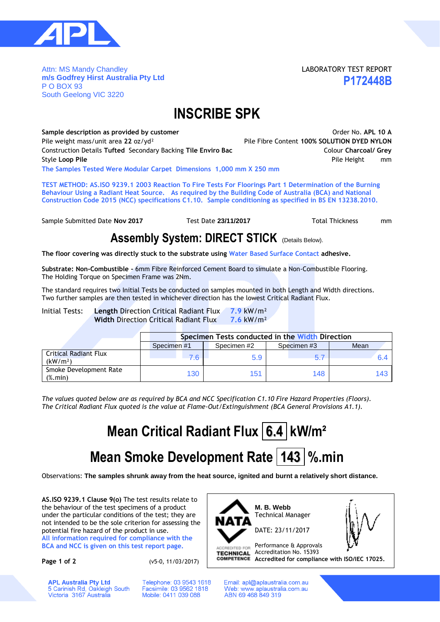

Attn: MS Mandy Chandley **m/s Godfrey Hirst Australia Pty Ltd** P O BOX 93 South Geelong VIC 3220

LABORATORY TEST REPORT **P172448B**

## **INSCRIBE SPK**

Sample description as provided by customer **ACCO CONSTRESS CONSTRESS CONSTRESS OR APL 10 A** Pile weight mass/unit area **22** oz/yd² Pile Fibre Content **100% SOLUTION DYED NYLON** Construction Details **Tufted** Secondary Backing **Tile Enviro Bac** Colour **Charcoal/ Grey Style Loop Pile Pile Height mm The Samples Tested Were Modular Carpet Dimensions 1,000 mm X 250 mm**

**TEST METHOD: AS.ISO 9239.1 2003 Reaction To Fire Tests For Floorings Part 1 Determination of the Burning Behaviour Using a Radiant Heat Source. As required by the Building Code of Australia (BCA) and National Construction Code 2015 (NCC) specifications C1.10. Sample conditioning as specified in BS EN 13238.2010.**

Sample Submitted Date **Nov 2017** Test Date 23/11/2017 Total Thickness mm

### **Assembly System: DIRECT STICK** (Details Below).

**The floor covering was directly stuck to the substrate using Water Based Surface Contact adhesive.**

**Substrate: Non-Combustible -** 6mm Fibre Reinforced Cement Board to simulate a Non-Combustible Flooring. The Holding Torque on Specimen Frame was 2Nm.

The standard requires two Initial Tests be conducted on samples mounted in both Length and Width directions. Two further samples are then tested in whichever direction has the lowest Critical Radiant Flux.

Initial Tests: **Length** Direction Critical Radiant Flux **7.9** kW/m² **Width** Direction Critical Radiant Flux **7.6** kW/m²

|                                                      | Specimen Tests conducted in the Width Direction |            |            |      |  |  |  |  |  |  |  |
|------------------------------------------------------|-------------------------------------------------|------------|------------|------|--|--|--|--|--|--|--|
|                                                      | Specimen#1                                      | Specimen#2 | Specimen#3 | Mean |  |  |  |  |  |  |  |
| <b>Critical Radiant Flux</b><br>(kW/m <sup>2</sup> ) | 76                                              | 5.9        |            |      |  |  |  |  |  |  |  |
| Smoke Development Rate<br>$(%$ (%, min)              | 130                                             | 151        | 148        | 143. |  |  |  |  |  |  |  |

*The values quoted below are as required by BCA and NCC Specification C1.10 Fire Hazard Properties (Floors). The Critical Radiant Flux quoted is the value at Flame-Out/Extinguishment (BCA General Provisions A1.1).*

# **Mean Critical Radiant Flux 6.4 kW/m<sup>2</sup>**

# **Mean Smoke Development Rate 143 %.min**

Observations: **The samples shrunk away from the heat source, ignited and burnt a relatively short distance.**

**AS.ISO 9239.1 Clause 9(o)** The test results relate to the behaviour of the test specimens of a product under the particular conditions of the test; they are not intended to be the sole criterion for assessing the potential fire hazard of the product in use.

**All information required for compliance with the BCA and NCC is given on this test report page.**

**APL Australia Pty Ltd** 

5 Carinish Rd, Oakleigh South<br>Victoria 3167 Australia

**Page 1 of 2** (v5-0, 11/03/2017)

Telephone: 03 9543 1618

Facsimile: 03 9562 1818

Mobile: 0411 039 088



Email: apl@aplaustralia.com.au Web: www.aplaustralia.com.au ABN 69 468 849 319